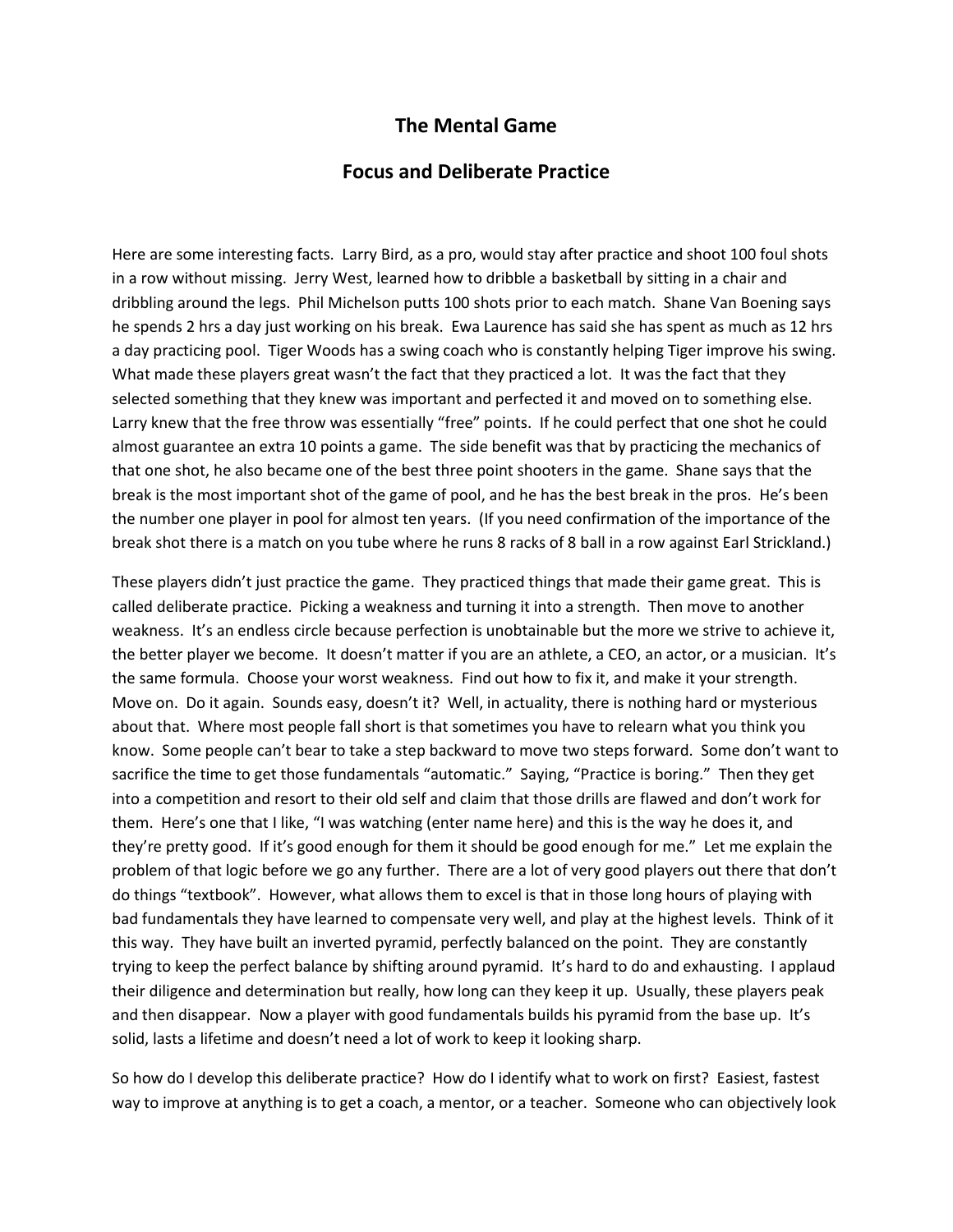## **The Mental Game**

## **Focus and Deliberate Practice**

Here are some interesting facts. Larry Bird, as a pro, would stay after practice and shoot 100 foul shots in a row without missing. Jerry West, learned how to dribble a basketball by sitting in a chair and dribbling around the legs. Phil Michelson putts 100 shots prior to each match. Shane Van Boening says he spends 2 hrs a day just working on his break. Ewa Laurence has said she has spent as much as 12 hrs a day practicing pool. Tiger Woods has a swing coach who is constantly helping Tiger improve his swing. What made these players great wasn't the fact that they practiced a lot. It was the fact that they selected something that they knew was important and perfected it and moved on to something else. Larry knew that the free throw was essentially "free" points. If he could perfect that one shot he could almost guarantee an extra 10 points a game. The side benefit was that by practicing the mechanics of that one shot, he also became one of the best three point shooters in the game. Shane says that the break is the most important shot of the game of pool, and he has the best break in the pros. He's been the number one player in pool for almost ten years. (If you need confirmation of the importance of the break shot there is a match on you tube where he runs 8 racks of 8 ball in a row against Earl Strickland.)

These players didn't just practice the game. They practiced things that made their game great. This is called deliberate practice. Picking a weakness and turning it into a strength. Then move to another weakness. It's an endless circle because perfection is unobtainable but the more we strive to achieve it, the better player we become. It doesn't matter if you are an athlete, a CEO, an actor, or a musician. It's the same formula. Choose your worst weakness. Find out how to fix it, and make it your strength. Move on. Do it again. Sounds easy, doesn't it? Well, in actuality, there is nothing hard or mysterious about that. Where most people fall short is that sometimes you have to relearn what you think you know. Some people can't bear to take a step backward to move two steps forward. Some don't want to sacrifice the time to get those fundamentals "automatic." Saying, "Practice is boring." Then they get into a competition and resort to their old self and claim that those drills are flawed and don't work for them. Here's one that I like, "I was watching (enter name here) and this is the way he does it, and they're pretty good. If it's good enough for them it should be good enough for me." Let me explain the problem of that logic before we go any further. There are a lot of very good players out there that don't do things "textbook". However, what allows them to excel is that in those long hours of playing with bad fundamentals they have learned to compensate very well, and play at the highest levels. Think of it this way. They have built an inverted pyramid, perfectly balanced on the point. They are constantly trying to keep the perfect balance by shifting around pyramid. It's hard to do and exhausting. I applaud their diligence and determination but really, how long can they keep it up. Usually, these players peak and then disappear. Now a player with good fundamentals builds his pyramid from the base up. It's solid, lasts a lifetime and doesn't need a lot of work to keep it looking sharp.

So how do I develop this deliberate practice? How do I identify what to work on first? Easiest, fastest way to improve at anything is to get a coach, a mentor, or a teacher. Someone who can objectively look